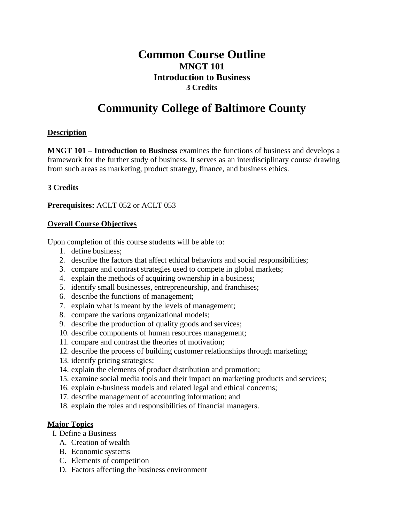# **Common Course Outline MNGT 101 Introduction to Business 3 Credits**

# **Community College of Baltimore County**

## **Description**

**MNGT 101 – Introduction to Business** examines the functions of business and develops a framework for the further study of business. It serves as an interdisciplinary course drawing from such areas as marketing, product strategy, finance, and business ethics.

#### **3 Credits**

**Prerequisites:** ACLT 052 or ACLT 053

#### **Overall Course Objectives**

Upon completion of this course students will be able to:

- 1. define business;
- 2. describe the factors that affect ethical behaviors and social responsibilities;
- 3. compare and contrast strategies used to compete in global markets;
- 4. explain the methods of acquiring ownership in a business;
- 5. identify small businesses, entrepreneurship, and franchises;
- 6. describe the functions of management;
- 7. explain what is meant by the levels of management;
- 8. compare the various organizational models;
- 9. describe the production of quality goods and services;
- 10. describe components of human resources management;
- 11. compare and contrast the theories of motivation;
- 12. describe the process of building customer relationships through marketing;
- 13. identify pricing strategies;
- 14. explain the elements of product distribution and promotion;
- 15. examine social media tools and their impact on marketing products and services;
- 16. explain e-business models and related legal and ethical concerns;
- 17. describe management of accounting information; and
- 18. explain the roles and responsibilities of financial managers.

# **Major Topics**

- I. Define a Business
	- A. Creation of wealth
	- B. Economic systems
	- C. Elements of competition
	- D. Factors affecting the business environment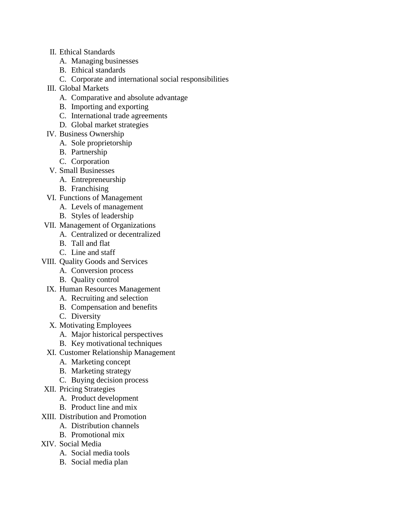- II. Ethical Standards
	- A. Managing businesses
	- B. Ethical standards
	- C. Corporate and international social responsibilities
- III. Global Markets
	- A. Comparative and absolute advantage
	- B. Importing and exporting
	- C. International trade agreements
	- D. Global market strategies
- IV. Business Ownership
	- A. Sole proprietorship
	- B. Partnership
	- C. Corporation
- V. Small Businesses
	- A. Entrepreneurship
	- B. Franchising
- VI. Functions of Management
	- A. Levels of management
	- B. Styles of leadership
- VII. Management of Organizations
	- A. Centralized or decentralized
	- B. Tall and flat
	- C. Line and staff
- VIII. Quality Goods and Services
	- A. Conversion process
	- B. Quality control
	- IX. Human Resources Management
		- A. Recruiting and selection
		- B. Compensation and benefits
		- C. Diversity
	- X. Motivating Employees
		- A. Major historical perspectives
		- B. Key motivational techniques
	- XI. Customer Relationship Management
		- A. Marketing concept
		- B. Marketing strategy
		- C. Buying decision process
- XII. Pricing Strategies
	- A. Product development
	- B. Product line and mix
- XIII. Distribution and Promotion
	- A. Distribution channels
	- B. Promotional mix
- XIV. Social Media
	- A. Social media tools
	- B. Social media plan